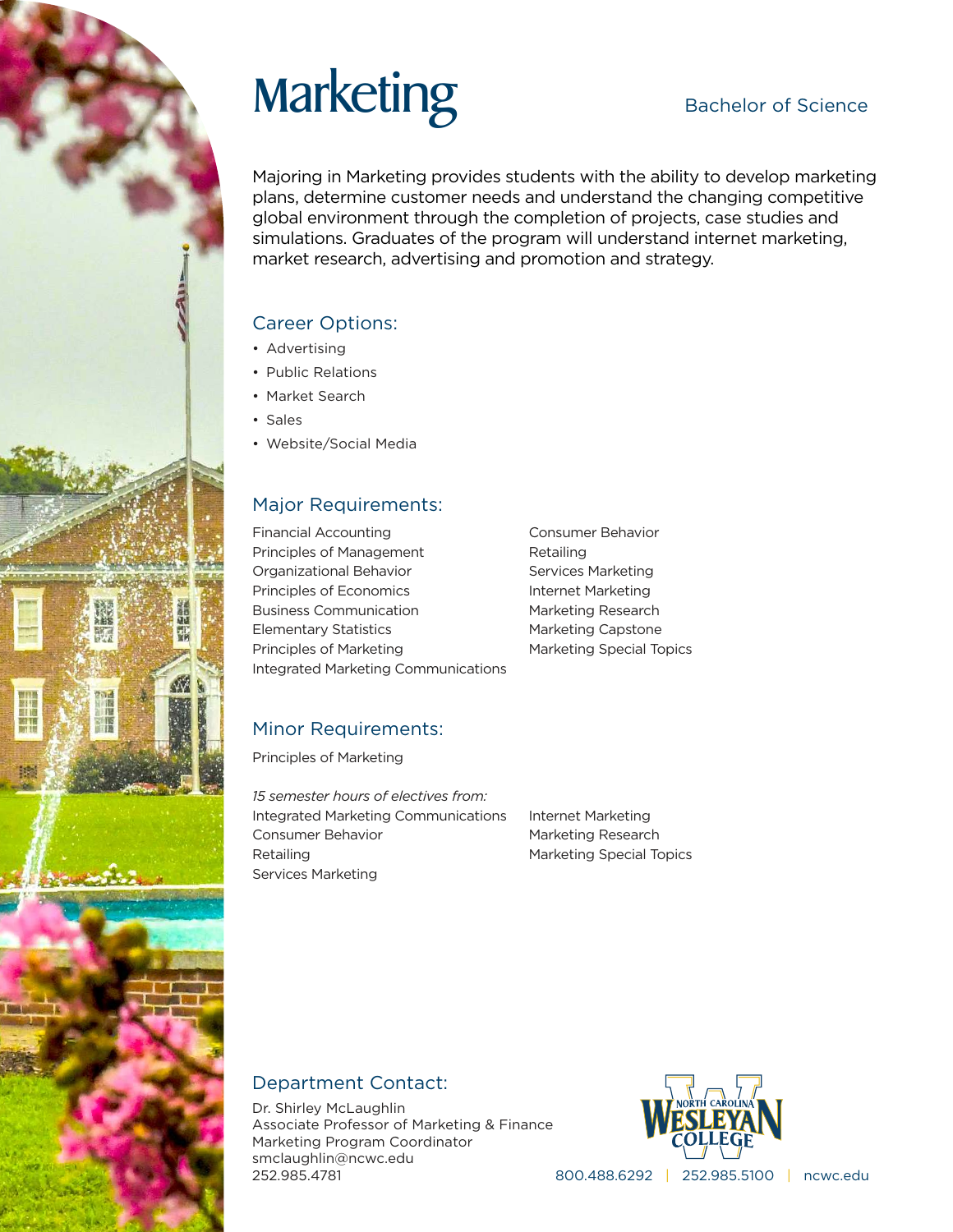# Marketing Bachelor of Science

Majoring in Marketing provides students with the ability to develop marketing plans, determine customer needs and understand the changing competitive global environment through the completion of projects, case studies and simulations. Graduates of the program will understand internet marketing, market research, advertising and promotion and strategy.

### Career Options:

- Advertising
- Public Relations
- Market Search
- Sales
- Website/Social Media

### Major Requirements:

Financial Accounting Principles of Management Organizational Behavior Principles of Economics Business Communication Elementary Statistics Principles of Marketing Integrated Marketing Communications Consumer Behavior Retailing Services Marketing Internet Marketing Marketing Research Marketing Capstone Marketing Special Topics

### Minor Requirements:

Principles of Marketing

*15 semester hours of electives from:* Integrated Marketing Communications Consumer Behavior Retailing Services Marketing

Internet Marketing Marketing Research Marketing Special Topics

### Department Contact:

Dr. Shirley McLaughlin Associate Professor of Marketing & Finance Marketing Program Coordinator smclaughlin@ncwc.edu 252.985.4781



800.488.6292 | 252.985.5100 | ncwc.edu